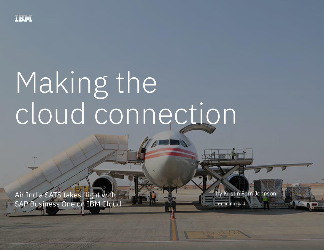

# Making the cloud connection

Air India SATS takes flight with SAP Business One on IBM Cloud by Kristin Fern Johnson

5-minute read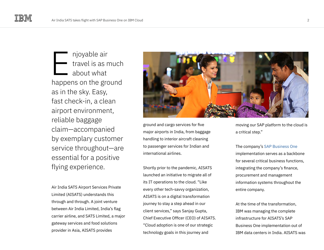njoyable air travel is as much about what happens on the ground as in the sky. Easy, fast check-in, a clean airport environment, reliable baggage claim—accompanied by exemplary customer service throughout—are essential for a positive flying experience. E

Air India SATS Airport Services Private Limited (AISATS) understands this through and through. A joint venture between Air India Limited, India's flag carrier airline, and SATS Limited, a major gateway services and food solutions provider in Asia, AISATS provides



ground and cargo services for five major airports in India, from baggage handling to interior aircraft cleaning to passenger services for Indian and international airlines.

Shortly prior to the pandemic, AISATS launched an initiative to migrate all of its IT operations to the cloud. "Like every other tech-savvy organization, AISATS is on a digital transformation journey to stay a step ahead in our client services," says Sanjay Gupta, Chief Executive Officer (CEO) of AISATS. "Cloud adoption is one of our strategic technology goals in this journey and

moving our SAP platform to the cloud is a critical step."

The company'[s SAP Business One](https://www.ibm.com/cloud/sap) implementation serves as a backbone for several critical business functions, integrating the company's finance, procurement and management information systems throughout the entire company.

At the time of the transformation, IBM was managing the complete infrastructure for AISATS's SAP Business One implementation out of IBM data centers in India. AISATS was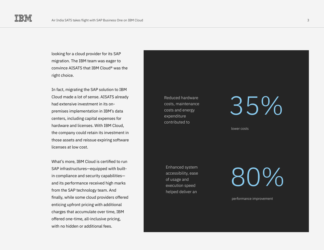looking for a cloud provider for its SAP migration. The IBM team was eager to convince AISATS that IBM Cloud® was the right choice.

In fact, migrating the SAP solution to IBM Cloud made a lot of sense. AISATS already had extensive investment in its onpremises implementation in IBM's data centers, including capital expenses for hardware and licenses. With IBM Cloud, the company could retain its investment in those assets and reissue expiring software licenses at low cost.

What's more, IBM Cloud is certified to run SAP infrastructures—equipped with builtin compliance and security capabilities and its performance received high marks from the SAP technology team. And finally, while some cloud providers offered enticing upfront pricing with additional charges that accumulate over time, IBM offered one-time, all-inclusive pricing, with no hidden or additional fees.

Reduced hardware costs, maintenance costs and energy expenditure contributed to

Enhanced system accessibility, ease of usage and execution speed helped deliver an

35%

lower costs

80%

performance improvement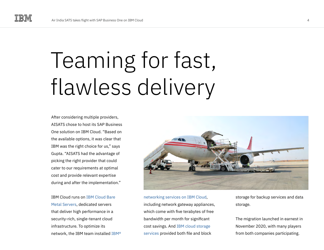## Teaming for fast, flawless delivery

After considering multiple providers, AISATS chose to host its SAP Business One solution on IBM Cloud. "Based on the available options, it was clear that IBM was the right choice for us," says Gupta. "AISATS had the advantage of picking the right provider that could cater to our requirements at optimal cost and provide relevant expertise during and after the implementation."

IBM Cloud runs on [IBM Cloud Bare](https://www.ibm.com/cloud/bare-metal-servers)  [Metal Servers,](https://www.ibm.com/cloud/bare-metal-servers) dedicated servers that deliver high performance in a security-rich, single-tenant cloud infrastructure. To optimize its network, the IBM team installed [IBM®](https://www.ibm.com/cloud/network) 



[networking services on IBM Cloud,](https://www.ibm.com/cloud/network) including network gateway appliances, which come with five terabytes of free bandwidth per month for significant cost savings. And [IBM cloud storage](https://www.ibm.com/cloud/storage)  [services](https://www.ibm.com/cloud/storage) provided both file and block

storage for backup services and data storage.

The migration launched in earnest in November 2020, with many players from both companies participating.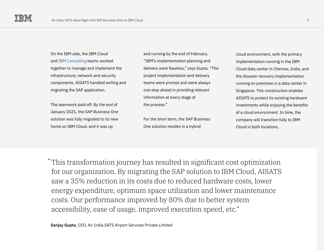On the IBM side, the IBM Cloud and [IBM Consulting](http://www.ibm.com/consulting) teams worked together to manage and implement the infrastructure, network and security components. AISATS handled writing and migrating the SAP application.

The teamwork paid off. By the end of January 2021, the SAP Business One solution was fully migrated to its new home on IBM Cloud, and it was up

and running by the end of February. "IBM's implementation planning and delivery were flawless," says Gupta. "The project implementation and delivery teams were prompt and were always one step ahead in providing relevant information at every stage of the process."

For the short term, the SAP Business One solution resides in a hybrid

cloud environment, with the primary implementation running in the IBM Cloud data center in Chennai, India, and the disaster recovery implementation running on premises in a data center in Singapore. This construction enables AISATS to protect its existing hardware investments while enjoying the benefits of a cloud environment. In time, the company will transition fully to IBM Cloud in both locations.

This transformation journey has resulted in significant cost optimization " for our organization. By migrating the SAP solution to IBM Cloud, AISATS saw a 35% reduction in its costs due to reduced hardware costs, lower energy expenditure, optimum space utilization and lower maintenance costs. Our performance improved by 80% due to better system accessibility, ease of usage, improved execution speed, etc."

**Sanjay Gupta**, CEO, Air India SATS Airport Services Private Limited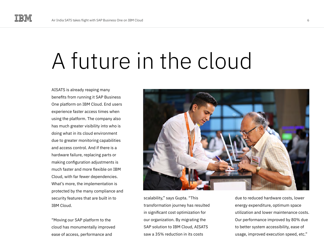### A future in the cloud

AISATS is already reaping many benefits from running it SAP Business One platform on IBM Cloud. End users experience faster access times when using the platform. The company also has much greater visibility into who is doing what in its cloud environment due to greater monitoring capabilities and access control. And if there is a hardware failure, replacing parts or making configuration adjustments is much faster and more flexible on IBM Cloud, with far fewer dependencies. What's more, the implementation is protected by the many compliance and security features that are built in to IBM Cloud.

"Moving our SAP platform to the cloud has monumentally improved ease of access, performance and



scalability," says Gupta. "This transformation journey has resulted in significant cost optimization for our organization. By migrating the SAP solution to IBM Cloud, AISATS saw a 35% reduction in its costs

due to reduced hardware costs, lower energy expenditure, optimum space utilization and lower maintenance costs. Our performance improved by 80% due to better system accessibility, ease of usage, improved execution speed, etc."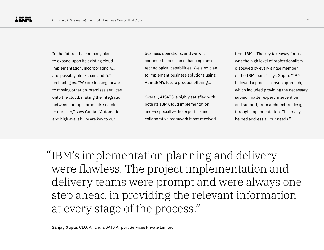In the future, the company plans to expand upon its existing cloud implementation, incorporating AI, and possibly blockchain and IoT technologies. "We are looking forward to moving other on-premises services onto the cloud, making the integration between multiple products seamless to our user," says Gupta. "Automation and high availability are key to our

business operations, and we will continue to focus on enhancing these technological capabilities. We also plan to implement business solutions using AI in IBM's future product offerings."

Overall, AISATS is highly satisfied with both its IBM Cloud implementation and—especially—the expertise and collaborative teamwork it has received

from IBM. "The key takeaway for us was the high level of professionalism displayed by every single member of the IBM team," says Gupta. "IBM followed a process-driven approach, which included providing the necessary subject matter expert intervention and support, from architecture design through implementation. This really helped address all our needs."

"IBM's implementation planning and delivery were flawless. The project implementation and delivery teams were prompt and were always one step ahead in providing the relevant information at every stage of the process."